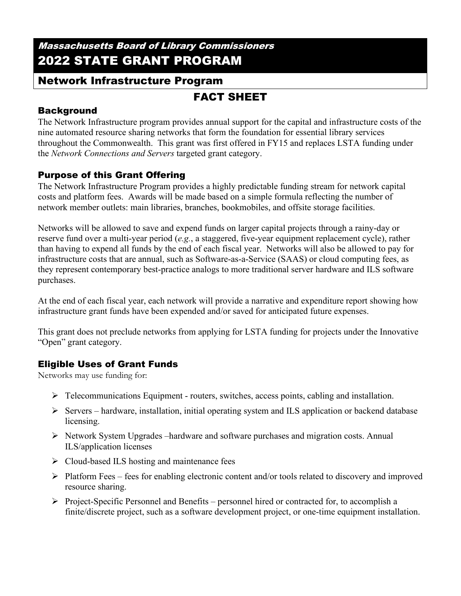## Massachusetts Board of Library Commissioners 2022 STATE GRANT PROGRAM

## Network Infrastructure Program

# FACT SHEET

### **Background**

The Network Infrastructure program provides annual support for the capital and infrastructure costs of the nine automated resource sharing networks that form the foundation for essential library services throughout the Commonwealth. This grant was first offered in FY15 and replaces LSTA funding under the *Network Connections and Servers* targeted grant category.

### Purpose of this Grant Offering

The Network Infrastructure Program provides a highly predictable funding stream for network capital costs and platform fees. Awards will be made based on a simple formula reflecting the number of network member outlets: main libraries, branches, bookmobiles, and offsite storage facilities.

Networks will be allowed to save and expend funds on larger capital projects through a rainy-day or reserve fund over a multi-year period (*e.g.*, a staggered, five-year equipment replacement cycle), rather than having to expend all funds by the end of each fiscal year. Networks will also be allowed to pay for infrastructure costs that are annual, such as Software-as-a-Service (SAAS) or cloud computing fees, as they represent contemporary best-practice analogs to more traditional server hardware and ILS software purchases.

At the end of each fiscal year, each network will provide a narrative and expenditure report showing how infrastructure grant funds have been expended and/or saved for anticipated future expenses.

This grant does not preclude networks from applying for LSTA funding for projects under the Innovative "Open" grant category.

## Eligible Uses of Grant Funds

Networks may use funding for:

- $\triangleright$  Telecommunications Equipment routers, switches, access points, cabling and installation.
- $\triangleright$  Servers hardware, installation, initial operating system and ILS application or backend database licensing.
- $\triangleright$  Network System Upgrades –hardware and software purchases and migration costs. Annual ILS/application licenses
- $\triangleright$  Cloud-based ILS hosting and maintenance fees
- $\triangleright$  Platform Fees fees for enabling electronic content and/or tools related to discovery and improved resource sharing.
- $\triangleright$  Project-Specific Personnel and Benefits personnel hired or contracted for, to accomplish a finite/discrete project, such as a software development project, or one-time equipment installation.